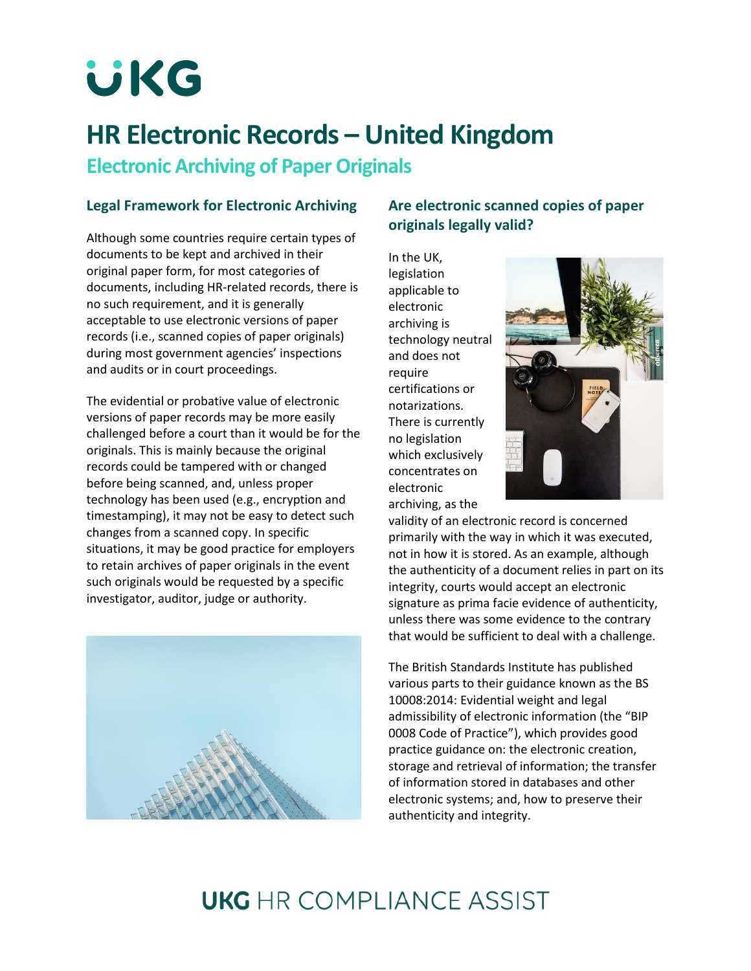**UKG** 

# **HR Electronic Records – United Kingdom**

**Electronic Archiving of Paper Originals**

#### **Legal Framework for Electronic Archiving**

Although some countries require certain types of documents to be kept and archived in their original paper form, for most categories of documents, including HR-related records, there is no such requirement, and it is generally acceptable to use electronic versions of paper records (i.e., scanned copies of paper originals) during most government agencies' inspections and audits or in court proceedings.

The evidential or probative value of electronic versions of paper records may be more easily challenged before a court than it would be for the originals. This is mainly because the original records could be tampered with or changed before being scanned, and, unless proper technology has been used (e.g., encryption and timestamping), it may not be easy to detect such changes from a scanned copy. In specific situations, it may be good practice for employers to retain archives of paper originals in the event such originals would be requested by a specific investigator, auditor, judge or authority.



### **Are electronic scanned copies of paper originals legally valid?**

In the UK, legislation applicable to electronic archiving is technology neutral and does not require certifications or notarizations. There is currently no legislation which exclusively concentrates on electronic archiving, as the



validity of an electronic record is concerned primarily with the way in which it was executed, not in how it is stored. As an example, although the authenticity of a document relies in part on its integrity, courts would accept an electronic signature as prima facie evidence of authenticity, unless there was some evidence to the contrary that would be sufficient to deal with a challenge.

The British Standards Institute has published various parts to their guidance known as the BS 10008:2014: Evidential weight and legal admissibility of electronic information (the "BIP 0008 Code of Practice"), which provides good practice guidance on: the electronic creation, storage and retrieval of information; the transfer of information stored in databases and other electronic systems; and, how to preserve their authenticity and integrity.

# **UKG** HR COMPI JANCE ASSIST